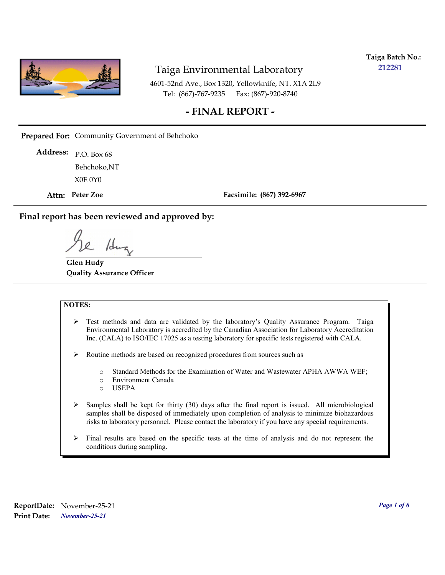

**Taiga Batch No.: 212281**

4601-52nd Ave., Box 1320, Yellowknife, NT. X1A 2L9 Tel: (867)-767-9235 Fax: (867)-920-8740

#### **- FINAL REPORT -**

**Prepared For:** Community Government of Behchoko

P.O. Box 68 **Address:** X0E 0Y0 Behchoko,NT

**Attn: Peter Zoe**

**Facsimile: (867) 392-6967**

**Final report has been reviewed and approved by:**

/dr

**Glen Hudy Quality Assurance Officer**

#### **NOTES:**

- $\triangleright$  Test methods and data are validated by the laboratory's Quality Assurance Program. Taiga Environmental Laboratory is accredited by the Canadian Association for Laboratory Accreditation Inc. (CALA) to ISO/IEC 17025 as a testing laboratory for specific tests registered with CALA.
- Routine methods are based on recognized procedures from sources such as
	- o Standard Methods for the Examination of Water and Wastewater APHA AWWA WEF;
	- o Environment Canada
	- o USEPA
- $\triangleright$  Samples shall be kept for thirty (30) days after the final report is issued. All microbiological samples shall be disposed of immediately upon completion of analysis to minimize biohazardous risks to laboratory personnel. Please contact the laboratory if you have any special requirements.
- $\triangleright$  Final results are based on the specific tests at the time of analysis and do not represent the conditions during sampling.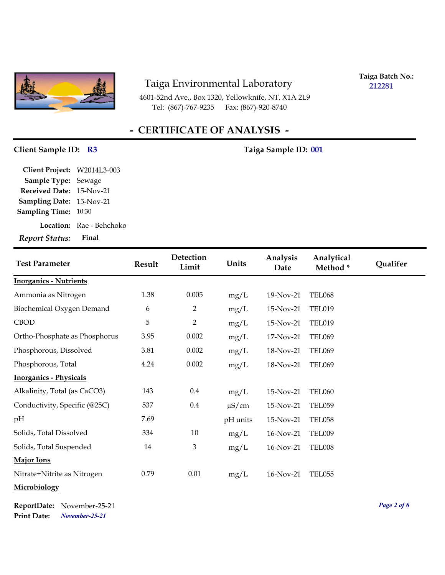

4601-52nd Ave., Box 1320, Yellowknife, NT. X1A 2L9 Tel: (867)-767-9235 Fax: (867)-920-8740

**Taiga Batch No.: 212281**

# **- CERTIFICATE OF ANALYSIS -**

# Client Sample ID: R3 Taiga Sample ID: 001

| Report Status: Final            |                          |
|---------------------------------|--------------------------|
|                                 | Location: Rae - Behchoko |
| <b>Sampling Time:</b> 10:30     |                          |
| <b>Sampling Date: 15-Nov-21</b> |                          |
| Received Date: 15-Nov-21        |                          |
| Sample Type: Sewage             |                          |
| Client Project: W2014L3-003     |                          |

| <b>Test Parameter</b>         | <b>Result</b> | Detection<br>Limit | Units      | Analysis<br>Date | Analytical<br>Method* | Qualifer |
|-------------------------------|---------------|--------------------|------------|------------------|-----------------------|----------|
| <b>Inorganics - Nutrients</b> |               |                    |            |                  |                       |          |
| Ammonia as Nitrogen           | 1.38          | 0.005              | mg/L       | 19-Nov-21        | <b>TEL068</b>         |          |
| Biochemical Oxygen Demand     | 6             | $\overline{2}$     | mg/L       | 15-Nov-21        | <b>TEL019</b>         |          |
| <b>CBOD</b>                   | 5             | $\overline{2}$     | mg/L       | 15-Nov-21        | <b>TEL019</b>         |          |
| Ortho-Phosphate as Phosphorus | 3.95          | 0.002              | mg/L       | 17-Nov-21        | <b>TEL069</b>         |          |
| Phosphorous, Dissolved        | 3.81          | 0.002              | mg/L       | 18-Nov-21        | <b>TEL069</b>         |          |
| Phosphorous, Total            | 4.24          | 0.002              | mg/L       | 18-Nov-21        | <b>TEL069</b>         |          |
| <b>Inorganics - Physicals</b> |               |                    |            |                  |                       |          |
| Alkalinity, Total (as CaCO3)  | 143           | $0.4\,$            | mg/L       | 15-Nov-21        | <b>TEL060</b>         |          |
| Conductivity, Specific (@25C) | 537           | $0.4\,$            | $\mu$ S/cm | 15-Nov-21        | <b>TEL059</b>         |          |
| pH                            | 7.69          |                    | pH units   | 15-Nov-21        | <b>TEL058</b>         |          |
| Solids, Total Dissolved       | 334           | 10                 | mg/L       | 16-Nov-21        | TEL009                |          |
| Solids, Total Suspended       | 14            | $\mathfrak{Z}$     | mg/L       | 16-Nov-21        | TEL008                |          |
| <b>Major Ions</b>             |               |                    |            |                  |                       |          |
| Nitrate+Nitrite as Nitrogen   | 0.79          | 0.01               | mg/L       | 16-Nov-21        | <b>TEL055</b>         |          |
| Microbiology                  |               |                    |            |                  |                       |          |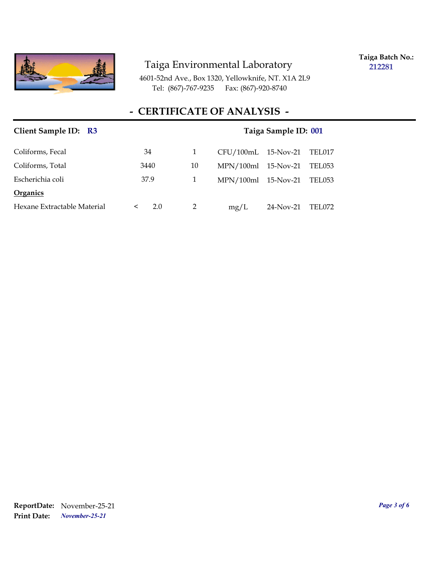

**Taiga Batch No.: 212281**

4601-52nd Ave., Box 1320, Yellowknife, NT. X1A 2L9 Tel: (867)-767-9235 Fax: (867)-920-8740

### **- CERTIFICATE OF ANALYSIS -**

| Client Sample ID: R3        |                | Taiga Sample ID: 001 |                       |           |        |
|-----------------------------|----------------|----------------------|-----------------------|-----------|--------|
| Coliforms, Fecal            | 34             | 1                    | $CFU/100mL$ 15-Nov-21 |           | TEL017 |
| Coliforms, Total            | 3440           | 10                   | $MPN/100ml$ 15-Nov-21 |           | TEL053 |
| Escherichia coli            | 37.9           | 1                    | $MPN/100ml$ 15-Nov-21 |           | TEL053 |
| Organics                    |                |                      |                       |           |        |
| Hexane Extractable Material | 2.0<br>$\prec$ | 2                    | mg/L                  | 24-Nov-21 | TEL072 |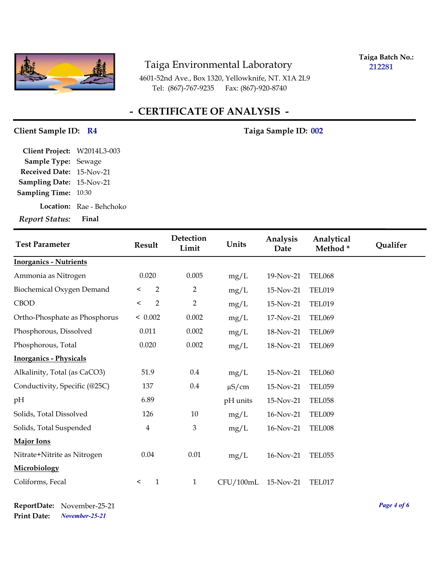

**Taiga Batch No.: 212281**

4601-52nd Ave., Box 1320, Yellowknife, NT. X1A 2L9 Tel: (867)-767-9235 Fax: (867)-920-8740

# **- CERTIFICATE OF ANALYSIS -**

#### Client Sample ID: R4 Taiga Sample ID: 002

| Client Project:                 | W2014L3-003                     |
|---------------------------------|---------------------------------|
| Sample Type: Sewage             |                                 |
| <b>Received Date: 15-Nov-21</b> |                                 |
| <b>Sampling Date: 15-Nov-21</b> |                                 |
| <b>Sampling Time:</b> 10:30     |                                 |
|                                 | <b>Location:</b> Rae - Behchoko |
| <b>Report Status:</b>           | Final                           |

| <b>Test Parameter</b>         | <b>Result</b>             | Detection<br>Limit | Units      | Analysis<br>Date | Analytical<br>Method* | Qualifer |
|-------------------------------|---------------------------|--------------------|------------|------------------|-----------------------|----------|
| <b>Inorganics - Nutrients</b> |                           |                    |            |                  |                       |          |
| Ammonia as Nitrogen           | 0.020                     | 0.005              | mg/L       | 19-Nov-21        | <b>TEL068</b>         |          |
| Biochemical Oxygen Demand     | $\overline{2}$<br>$\,<\,$ | $\overline{2}$     | mg/L       | 15-Nov-21        | <b>TEL019</b>         |          |
| <b>CBOD</b>                   | $\overline{2}$<br>$\,<$   | $\overline{2}$     | mg/L       | 15-Nov-21        | <b>TEL019</b>         |          |
| Ortho-Phosphate as Phosphorus | < 0.002                   | 0.002              | mg/L       | 17-Nov-21        | <b>TEL069</b>         |          |
| Phosphorous, Dissolved        | 0.011                     | 0.002              | mg/L       | 18-Nov-21        | <b>TEL069</b>         |          |
| Phosphorous, Total            | 0.020                     | 0.002              | mg/L       | 18-Nov-21        | <b>TEL069</b>         |          |
| <b>Inorganics - Physicals</b> |                           |                    |            |                  |                       |          |
| Alkalinity, Total (as CaCO3)  | 51.9                      | 0.4                | mg/L       | 15-Nov-21        | <b>TEL060</b>         |          |
| Conductivity, Specific (@25C) | 137                       | $0.4\,$            | $\mu$ S/cm | 15-Nov-21        | <b>TEL059</b>         |          |
| pH                            | 6.89                      |                    | pH units   | 15-Nov-21        | <b>TEL058</b>         |          |
| Solids, Total Dissolved       | 126                       | 10                 | mg/L       | 16-Nov-21        | <b>TEL009</b>         |          |
| Solids, Total Suspended       | $\overline{4}$            | 3                  | mg/L       | 16-Nov-21        | <b>TEL008</b>         |          |
| Major Ions                    |                           |                    |            |                  |                       |          |
| Nitrate+Nitrite as Nitrogen   | 0.04                      | $0.01\,$           | mg/L       | 16-Nov-21        | <b>TEL055</b>         |          |
| Microbiology                  |                           |                    |            |                  |                       |          |
| Coliforms, Fecal              | $\mathbf{1}$<br>$\,<\,$   | $\mathbf{1}$       | CFU/100mL  | 15-Nov-21        | TEL017                |          |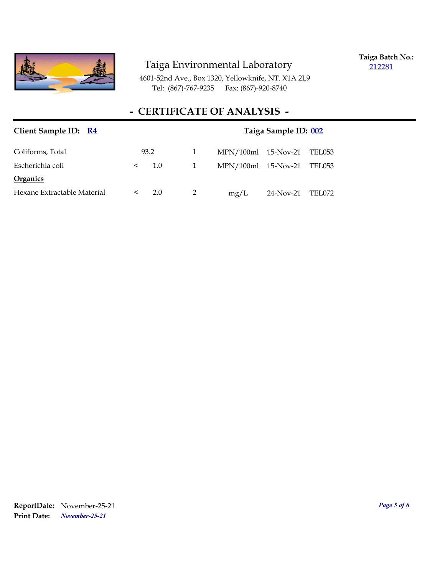

**Taiga Batch No.: 212281**

4601-52nd Ave., Box 1320, Yellowknife, NT. X1A 2L9 Tel: (867)-767-9235 Fax: (867)-920-8740

### **- CERTIFICATE OF ANALYSIS -**

| Client Sample ID: R4        | Taiga Sample ID: 002 |   |                       |           |        |
|-----------------------------|----------------------|---|-----------------------|-----------|--------|
| Coliforms, Total            | 93.2                 |   | $MPN/100ml$ 15-Nov-21 |           | TEL053 |
| Escherichia coli            | 1.0<br>$\lt$         | 1 | MPN/100ml 15-Nov-21   |           | TEL053 |
| <b>Organics</b>             |                      |   |                       |           |        |
| Hexane Extractable Material | 2.0<br>$\lt$         |   | mg/L                  | 24-Nov-21 | TEL072 |